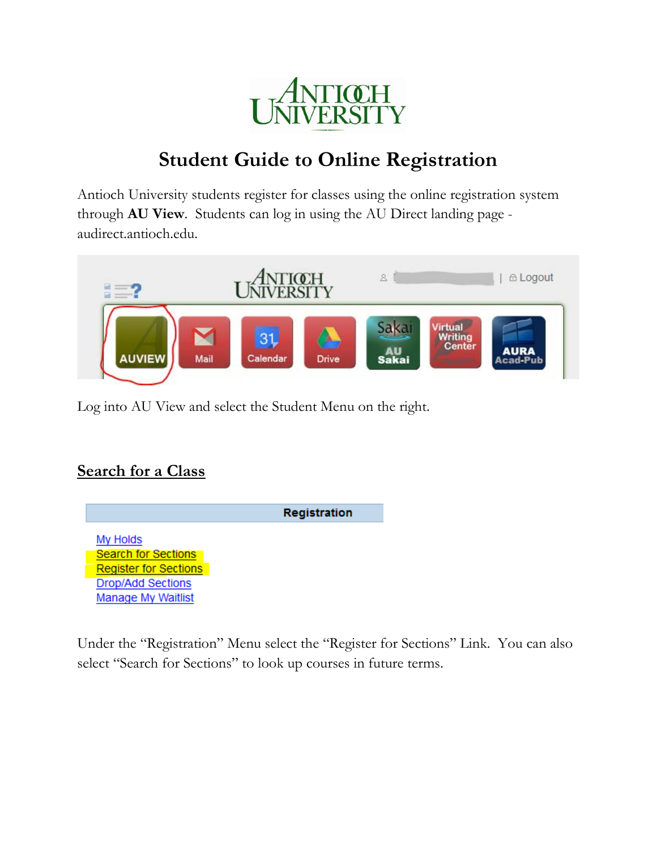

# **Student Guide to Online Registration**

Antioch University students register for classes using the online registration system through **AU View**. Students can log in using the AU Direct landing page audirect.antioch.edu.



Log into AU View and select the Student Menu on the right.

### **Search for a Class**



Under the "Registration" Menu select the "Register for Sections" Link. You can also select "Search for Sections" to look up courses in future terms.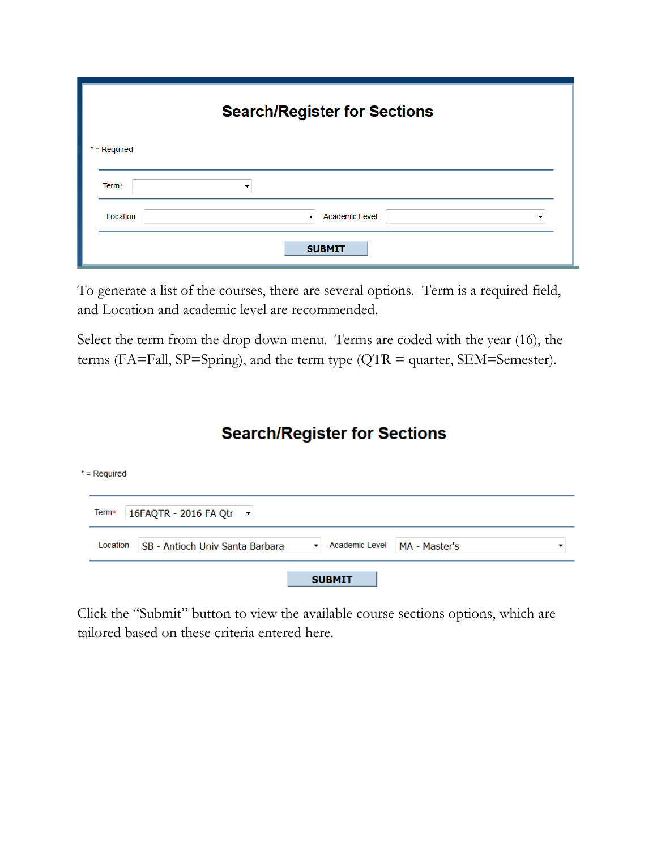| <b>Search/Register for Sections</b> |                                  |  |  |  |  |  |  |  |
|-------------------------------------|----------------------------------|--|--|--|--|--|--|--|
| $*$ = Required                      |                                  |  |  |  |  |  |  |  |
| Term*                               | ▼                                |  |  |  |  |  |  |  |
| Location                            | <b>Academic Level</b><br>$\cdot$ |  |  |  |  |  |  |  |
|                                     | <b>SUBMIT</b>                    |  |  |  |  |  |  |  |

To generate a list of the courses, there are several options. Term is a required field, and Location and academic level are recommended.

Select the term from the drop down menu. Terms are coded with the year (16), the terms (FA=Fall, SP=Spring), and the term type (QTR = quarter, SEM=Semester).

### **Search/Register for Sections**

| * = Required |                                        |                                        |               |  |
|--------------|----------------------------------------|----------------------------------------|---------------|--|
| Term*        | 16FAQTR - 2016 FA Qtr -                |                                        |               |  |
| Location     | <b>SB - Antioch Univ Santa Barbara</b> | Academic Level<br>$\blacktriangledown$ | MA - Master's |  |
|              |                                        | <b>SUBMIT</b>                          |               |  |

Click the "Submit" button to view the available course sections options, which are tailored based on these criteria entered here.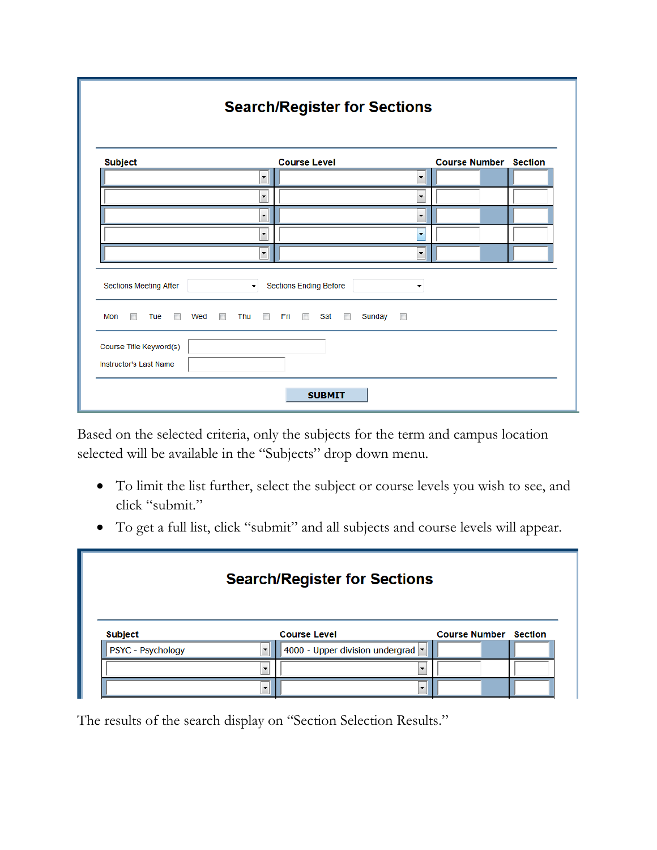| <b>Search/Register for Sections</b>                                 |                                                   |                              |  |  |  |  |  |  |  |
|---------------------------------------------------------------------|---------------------------------------------------|------------------------------|--|--|--|--|--|--|--|
| <b>Subject</b>                                                      | <b>Course Level</b>                               | <b>Course Number Section</b> |  |  |  |  |  |  |  |
| ۰                                                                   | $\overline{\phantom{a}}$                          |                              |  |  |  |  |  |  |  |
| ۰                                                                   | $\overline{\phantom{a}}$                          |                              |  |  |  |  |  |  |  |
| ۰                                                                   | $\overline{\phantom{a}}$                          |                              |  |  |  |  |  |  |  |
| $\blacktriangledown$                                                | $\overline{\phantom{a}}$                          |                              |  |  |  |  |  |  |  |
| $\blacktriangledown$                                                | $\blacktriangledown$                              |                              |  |  |  |  |  |  |  |
| Sections Meeting After<br>۰.                                        | <b>Sections Ending Before</b><br>٠                |                              |  |  |  |  |  |  |  |
| Mon<br>Tue<br>Thu<br>$\overline{\phantom{a}}$<br>Wed<br>П<br>F<br>E | Sunday<br>Fri<br>Sat<br>$\overline{\mathbb{R}^n}$ |                              |  |  |  |  |  |  |  |
| Course Title Keyword(s)<br>Instructor's Last Name                   |                                                   |                              |  |  |  |  |  |  |  |
|                                                                     | <b>SUBMIT</b>                                     |                              |  |  |  |  |  |  |  |

Based on the selected criteria, only the subjects for the term and campus location selected will be available in the "Subjects" drop down menu.

- To limit the list further, select the subject or course levels you wish to see, and click "submit."
- To get a full list, click "submit" and all subjects and course levels will appear.

|                   |                          | <b>Search/Register for Sections</b> |                              |  |
|-------------------|--------------------------|-------------------------------------|------------------------------|--|
| <b>Subject</b>    |                          | <b>Course Level</b>                 | <b>Course Number Section</b> |  |
|                   | $\overline{\phantom{a}}$ | 4000 - Upper division undergrad     |                              |  |
| PSYC - Psychology |                          |                                     |                              |  |
|                   | ٠                        |                                     |                              |  |

The results of the search display on "Section Selection Results."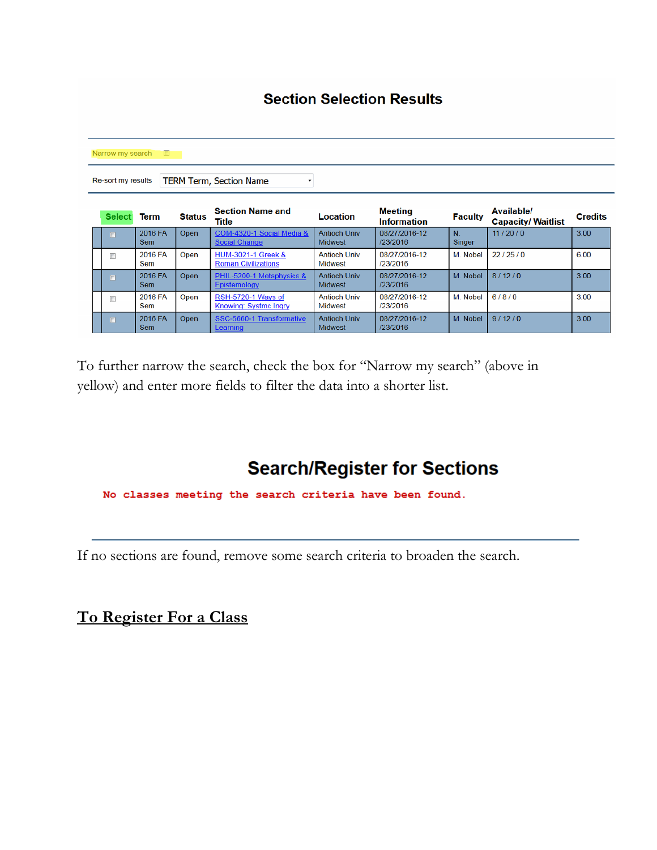| <b>Section Selection Results</b> |                       |               |                                                             |                                       |                                      |                |                                         |                |  |  |  |
|----------------------------------|-----------------------|---------------|-------------------------------------------------------------|---------------------------------------|--------------------------------------|----------------|-----------------------------------------|----------------|--|--|--|
| Narrow my search<br>o            |                       |               |                                                             |                                       |                                      |                |                                         |                |  |  |  |
| Re-sort my results               |                       |               | <b>TERM Term, Section Name</b>                              |                                       |                                      |                |                                         |                |  |  |  |
| <b>Select</b>                    | Term                  | <b>Status</b> | <b>Section Name and</b><br>Title                            | Location                              | <b>Meeting</b><br><b>Information</b> | <b>Faculty</b> | Available/<br><b>Capacity/ Waitlist</b> | <b>Credits</b> |  |  |  |
| n                                | 2016 FA<br><b>Sem</b> | Open          | COM-4320-1 Social Media &<br><b>Social Change</b>           | <b>Antioch Univ</b><br><b>Midwest</b> | 08/27/2016-12<br>/23/2016            | N<br>Singer    | 11/20/0                                 | 3.00           |  |  |  |
| $\overline{\phantom{a}}$         | 2016 FA<br>Sem        | Open          | <b>HUM-3021-1 Greek &amp;</b><br><b>Roman Civilizations</b> | <b>Antioch Univ</b><br>Midwest        | 08/27/2016-12<br>/23/2016            | M. Nobel       | 22/25/0                                 | 6.00           |  |  |  |
| $\Box$                           | 2016 FA<br>Sem        | Open          | PHIL-5200-1 Metaphysics &<br>Epistemology                   | <b>Antioch Univ</b><br>Midwest        | 08/27/2016-12<br>/23/2016            | M. Nobel       | 8/12/0                                  | 3.00           |  |  |  |
| n                                | 2016 FA<br>Sem        | Open          | RSH-5720-1 Ways of<br><b>Knowing: Systmc Ingry</b>          | <b>Antioch Univ</b><br>Midwest        | 08/27/2016-12<br>/23/2016            | M. Nobel       | 6/8/0                                   | 3.00           |  |  |  |
| $\blacksquare$                   | 2016 FA<br>Sem        | Open          | SSC-5660-1 Transformative<br>Learning                       | <b>Antioch Univ</b><br><b>Midwest</b> | 08/27/2016-12<br>/23/2016            | M. Nobel       | 9/12/0                                  | 3.00           |  |  |  |

To further narrow the search, check the box for "Narrow my search" (above in yellow) and enter more fields to filter the data into a shorter list.

## **Search/Register for Sections**

No classes meeting the search criteria have been found.

If no sections are found, remove some search criteria to broaden the search.

**To Register For a Class**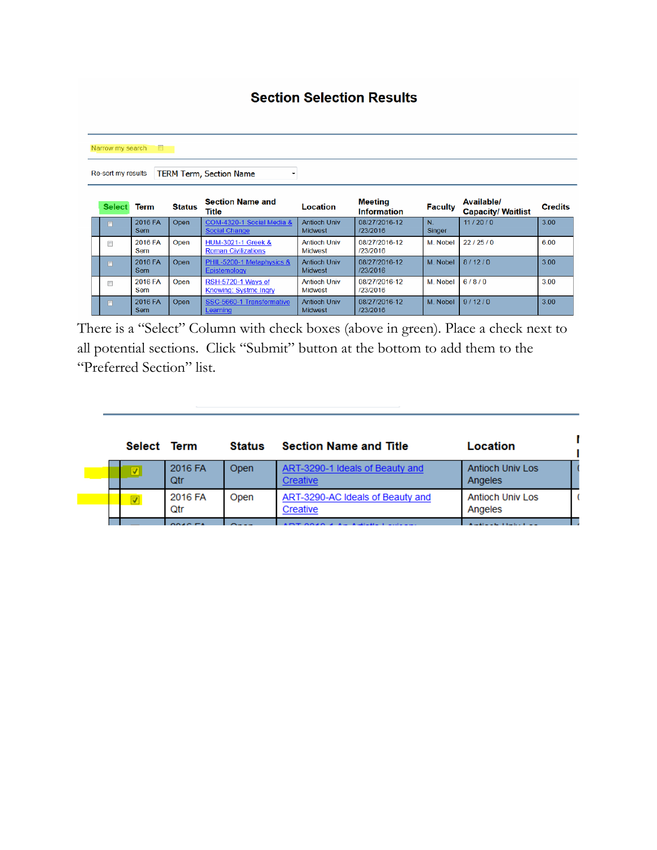| <b>Section Selection Results</b>                                              |                       |               |                                                             |                                       |                                      |                |                                         |                |  |  |  |
|-------------------------------------------------------------------------------|-----------------------|---------------|-------------------------------------------------------------|---------------------------------------|--------------------------------------|----------------|-----------------------------------------|----------------|--|--|--|
| Narrow my search<br>T<br><b>TERM Term, Section Name</b><br>Re-sort my results |                       |               |                                                             |                                       |                                      |                |                                         |                |  |  |  |
| <b>Select</b>                                                                 | <b>Term</b>           | <b>Status</b> | <b>Section Name and</b><br>Title                            | Location                              | <b>Meeting</b><br><b>Information</b> | <b>Faculty</b> | Available/<br><b>Capacity/ Waitlist</b> | <b>Credits</b> |  |  |  |
| $\blacksquare$                                                                | 2016 FA<br><b>Sem</b> | Open          | COM-4320-1 Social Media &<br><b>Social Change</b>           | <b>Antioch Univ</b><br><b>Midwest</b> | 08/27/2016-12<br>/23/2016            | N.<br>Singer   | 11/20/0                                 | 3.00           |  |  |  |
| $\Box$                                                                        | 2016 FA<br>Sem        | Open          | <b>HUM-3021-1 Greek &amp;</b><br><b>Roman Civilizations</b> | <b>Antioch Univ</b><br>Midwest        | 08/27/2016-12<br>/23/2016            | M Nobel        | 22/25/0                                 | 6.00           |  |  |  |
| $\Box$                                                                        | 2016 FA<br><b>Sem</b> | Open          | PHIL-5200-1 Metaphysics &<br>Epistemology                   | <b>Antioch Univ</b><br><b>Midwest</b> | 08/27/2016-12<br>/23/2016            | M. Nobel       | 8/12/0                                  | 3.00           |  |  |  |
| C                                                                             | 2016 FA<br>Sem        | Open          | RSH-5720-1 Ways of<br><b>Knowing: Systmc Ingry</b>          | <b>Antioch Univ</b><br>Midwest        | 08/27/2016-12<br>/23/2016            | M. Nobel       | 6/8/0                                   | 3.00           |  |  |  |
| $\Box$                                                                        | 2016 FA<br>Sem        | Open          | SSC-5660-1 Transformative<br>Learning                       | <b>Antioch Univ</b><br>Midwest        | 08/27/2016-12<br>/23/2016            | M. Nobel       | 9/12/0                                  | 3.00           |  |  |  |

There is a "Select" Column with check boxes (above in green). Place a check next to all potential sections. Click "Submit" button at the bottom to add them to the "Preferred Section" list.

| Select Term             |                       | Status | <b>Section Name and Title</b>                | Location                           |
|-------------------------|-----------------------|--------|----------------------------------------------|------------------------------------|
| ⊽                       | 2016 FA<br><b>Qtr</b> | Open   | ART-3290-1 Ideals of Beauty and<br>Creative  | <b>Antioch Univ Los</b><br>Angeles |
| $\overline{\mathbf{v}}$ | 2016 FA<br>Qtr        | Open   | ART-3290-AC Ideals of Beauty and<br>Creative | <b>Antioch Univ Los</b><br>Angeles |
|                         | 0.010E                |        |                                              |                                    |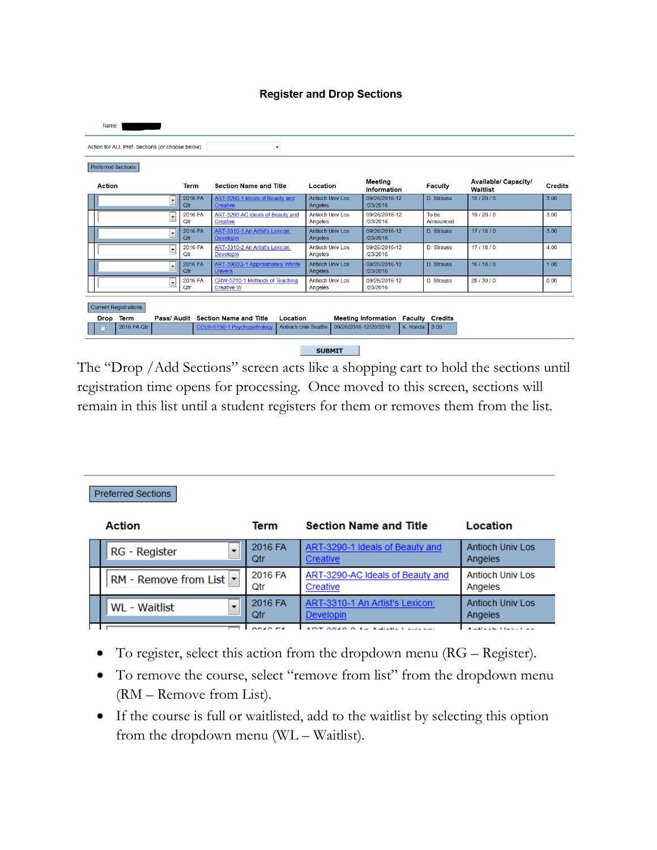#### **Register and Drop Sections**

| Name                                            |                |                                                            |                                    |                                      |                        |                                                |                |
|-------------------------------------------------|----------------|------------------------------------------------------------|------------------------------------|--------------------------------------|------------------------|------------------------------------------------|----------------|
| Action for ALL Pref. Sections (or choose below) |                | $\cdot$                                                    |                                    |                                      |                        |                                                |                |
| <b>Preferred Sections</b>                       |                |                                                            |                                    |                                      |                        |                                                |                |
| <b>Action</b>                                   | <b>Term</b>    | <b>Section Name and Title</b>                              | Location                           | <b>Meeting</b><br><b>Information</b> | <b>Faculty</b>         | <b>Available/ Capacity/</b><br><b>Waitlist</b> | <b>Credits</b> |
| $\cdot$                                         | 2016 FA<br>Otr | ART-3290-1 Ideals of Beauty and<br><b>Creative</b>         | <b>Antioch Univ Los</b><br>Angeles | 09/26/2016-12<br>/23/2016            | D. Strauss             | 15/20/0                                        | 3.00           |
| $\overline{\phantom{a}}$                        | 2016 FA<br>Qtr | ART-3290-AC Ideals of Beauty and<br><b>Creative</b>        | <b>Antioch Univ Los</b><br>Angeles | 09/26/2016-12<br>/23/2016            | To be<br>Announced     | 19/20/0                                        | 3.00           |
| $\overline{\phantom{0}}$                        | 2016 FA<br>Ofr | ART-3310-1 An Artist's Lexicon:<br><b>Developin</b>        | <b>Antioch Univ Los</b><br>Angeles | 09/26/2016-12<br>/23/2016            | D. Strauss             | 17/18/0                                        | 3.00           |
| $\overline{\phantom{a}}$                        | 2016 FA<br>Qtr | ART-3310-2 An Artist's Lexicon:<br><b>Developin</b>        | <b>Antioch Univ Los</b><br>Angeles | 09/26/2016-12<br>/23/2016            | <b>D. Strauss</b>      | 17/18/0                                        | 4.00           |
| $\overline{\phantom{0}}$                        | 2016 FA<br>Qtr | ART-3900Q-1 Approximately Infinite<br><b>Univers</b>       | <b>Antioch Univ Los</b><br>Angeles | 09/26/2016-12<br>/23/2016            | D. Strauss             | 16/18/0                                        | 100            |
| $\overline{\phantom{a}}$                        | 2016 FA<br>Qtr | CRW-5210-1 Methods of Teaching<br><b>Creative W</b>        | <b>Antioch Univ Los</b><br>Angeles | 09/26/2016-12<br>/23/2016            | D. Strauss             | 28/30/0                                        | 0.00           |
| <b>Current Registrations</b>                    |                |                                                            |                                    |                                      |                        |                                                |                |
| Term<br>Drop                                    |                | Pass/ Audit Section Name and Title<br>Location             |                                    | <b>Meeting Information</b>           | <b>Faculty Credits</b> |                                                |                |
| 2016 FA Qtr                                     |                | <b>Antioch Univ Seattle</b><br>COUN-5150-1 Psychopathology | 09/26/2016-12/23/2016              | K. Honda                             | 3.00                   |                                                |                |
|                                                 |                |                                                            | <b>SUBMIT</b>                      |                                      |                        |                                                |                |

The "Drop /Add Sections" screen acts like a shopping cart to hold the sections until registration time opens for processing. Once moved to this screen, sections will remain in this list until a student registers for them or removes them from the list.

| <b>Action</b>                   | Term           | <b>Section Name and Title</b>                       | Location                           |
|---------------------------------|----------------|-----------------------------------------------------|------------------------------------|
| RG - Register                   | 2016 FA<br>Qtr | ART-3290-1 Ideals of Beauty and<br>Creative         | <b>Antioch Univ Los</b><br>Angeles |
| RM - Remove from List $ \cdot $ | 2016 FA<br>Qtr | ART-3290-AC Ideals of Beauty and<br>Creative        | <b>Antioch Univ Los</b><br>Angeles |
| WL - Waitlist<br>$\cdot$        | 2016 FA<br>Qtr | ART-3310-1 An Artist's Lexicon:<br><b>Developin</b> | <b>Antioch Univ Los</b><br>Angeles |
|                                 |                | $A A A A A A A A B A A B A B A B$                   | contracted to the property of the  |

Preferred Sections

- To register, select this action from the dropdown menu (RG Register).
- To remove the course, select "remove from list" from the dropdown menu (RM – Remove from List).
- If the course is full or waitlisted, add to the waitlist by selecting this option from the dropdown menu (WL – Waitlist).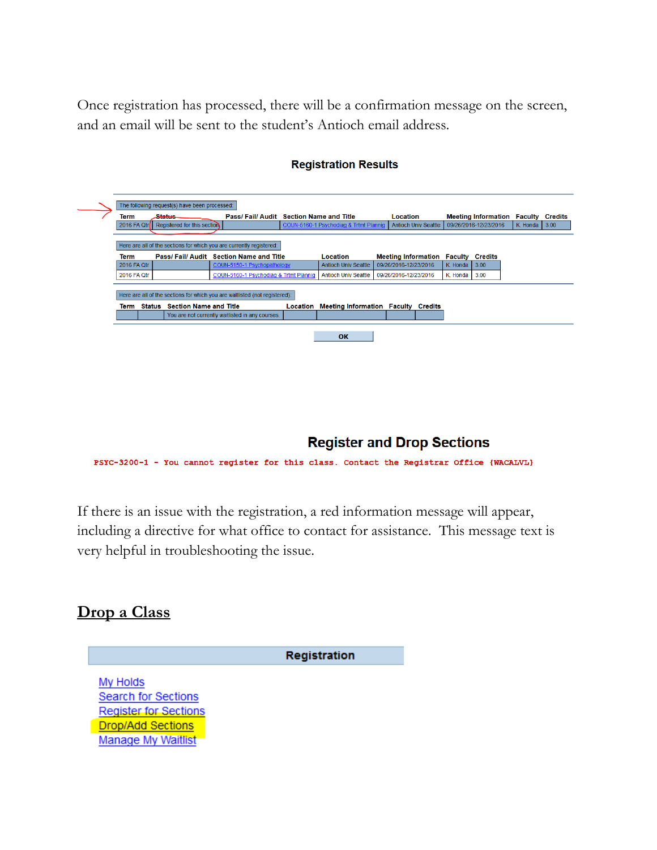Once registration has processed, there will be a confirmation message on the screen, and an email will be sent to the student's Antioch email address.

|             | The following request(s) have been processed: |                                                                             |          |                                            |                                            |                             |          |                                    |          |         |
|-------------|-----------------------------------------------|-----------------------------------------------------------------------------|----------|--------------------------------------------|--------------------------------------------|-----------------------------|----------|------------------------------------|----------|---------|
| <b>Term</b> | <b>Status</b>                                 | Pass/Fail/Audit Section Name and Title                                      |          |                                            | <b>Location</b>                            |                             |          | <b>Meeting Information Faculty</b> |          | Credits |
| 2016 FA Qtr | Registered for this section                   |                                                                             |          | COUN-5160-1 Psychodiag & Trtmt Plannig     |                                            | <b>Antioch Univ Seattle</b> |          | 09/26/2016-12/23/2016              | K. Honda | 3.00    |
|             |                                               |                                                                             |          |                                            |                                            |                             |          |                                    |          |         |
|             |                                               | Here are all of the sections for which you are currently registered:        |          |                                            |                                            |                             |          |                                    |          |         |
| <b>Term</b> |                                               | Pass/Fail/Audit Section Name and Title                                      |          | Location                                   | <b>Meeting Information Faculty Credits</b> |                             |          |                                    |          |         |
| 2016 FA Qtr |                                               | COUN-5150-1 Psychopathology                                                 |          | <b>Antioch Univ Seattle</b>                | 09/26/2016-12/23/2016                      |                             | K. Honda | 3.00                               |          |         |
| 2016 FA Qtr |                                               | COUN-5160-1 Psychodiag & Trtmt Plannig                                      |          | <b>Antioch Univ Seattle</b>                | 09/26/2016-12/23/2016                      |                             | K. Honda | 3.00                               |          |         |
|             |                                               | Here are all of the sections for which you are waitlisted (not registered): |          |                                            |                                            |                             |          |                                    |          |         |
|             | Term Status Section Name and Title            |                                                                             | Location | <b>Meeting Information Faculty Credits</b> |                                            |                             |          |                                    |          |         |
|             |                                               | You are not currently waitlisted in any courses.                            |          |                                            |                                            |                             |          |                                    |          |         |
|             |                                               |                                                                             |          |                                            |                                            |                             |          |                                    |          |         |
|             |                                               |                                                                             |          | OK                                         |                                            |                             |          |                                    |          |         |
|             |                                               |                                                                             |          |                                            |                                            |                             |          |                                    |          |         |

#### **Registration Results**

### **Register and Drop Sections**

PSYC-3200-1 - You cannot register for this class. Contact the Registrar Office (WACALVL)

If there is an issue with the registration, a red information message will appear, including a directive for what office to contact for assistance. This message text is very helpful in troubleshooting the issue.

### **Drop a Class**

Registration

My Holds Search for Sections **Register for Sections Drop/Add Sections Manage My Waitlist**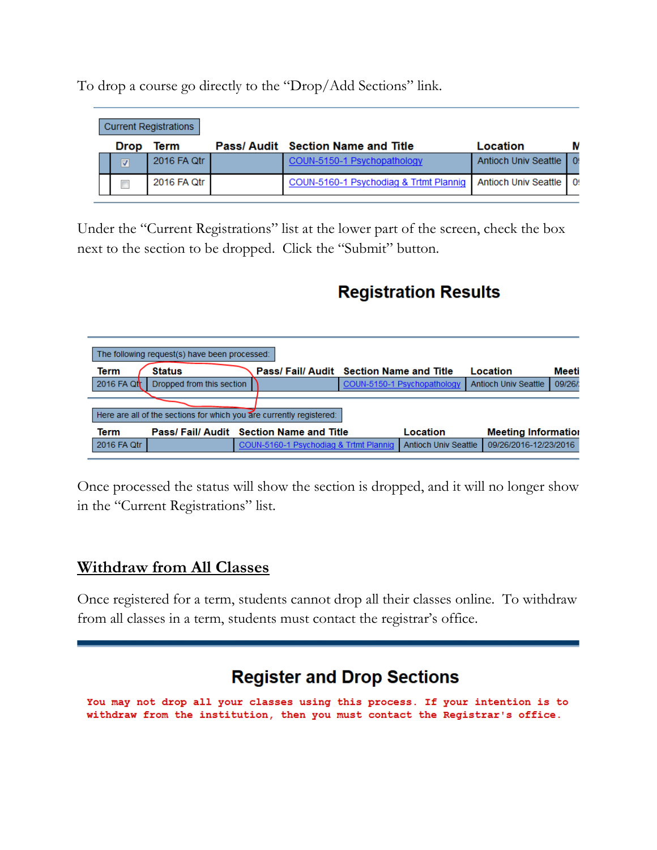**Current Registrations Pass/ Audit Section Name and Title** Drop Term Location M 2016 FA Qtr COUN-5150-1 Psychopathology Antioch Univ Seattle  $\mathbf{0}$  $\overline{v}$ 2016 FA Qtr COUN-5160-1 Psychodiag & Trtmt Plannig **Antioch Univ Seattle** 0!  $\Box$ 

To drop a course go directly to the "Drop/Add Sections" link.

Under the "Current Registrations" list at the lower part of the screen, check the box next to the section to be dropped. Click the "Submit" button.

## **Registration Results**

| The following request(s) have been processed: |                                                                      |  |                                        |  |                             |                             |        |  |  |  |  |
|-----------------------------------------------|----------------------------------------------------------------------|--|----------------------------------------|--|-----------------------------|-----------------------------|--------|--|--|--|--|
| Term                                          | <b>Status</b>                                                        |  | Pass/Fail/Audit Section Name and Title |  |                             | Location                    | Meeti  |  |  |  |  |
| 2016 FA Qtr                                   | Dropped from this section                                            |  |                                        |  | COUN-5150-1 Psychopathology | <b>Antioch Univ Seattle</b> | 09/26/ |  |  |  |  |
|                                               |                                                                      |  |                                        |  |                             |                             |        |  |  |  |  |
|                                               | Here are all of the sections for which you are currently registered: |  |                                        |  |                             |                             |        |  |  |  |  |
| Term                                          |                                                                      |  | Pass/Fail/Audit Section Name and Title |  | Location                    | <b>Meeting Information</b>  |        |  |  |  |  |
| 2016 FA Qtr                                   |                                                                      |  | COUN-5160-1 Psychodiag & Trtmt Plannig |  | <b>Antioch Univ Seattle</b> | 09/26/2016-12/23/2016       |        |  |  |  |  |

Once processed the status will show the section is dropped, and it will no longer show in the "Current Registrations" list.

### **Withdraw from All Classes**

Once registered for a term, students cannot drop all their classes online. To withdraw from all classes in a term, students must contact the registrar's office.

## **Register and Drop Sections**

You may not drop all your classes using this process. If your intention is to withdraw from the institution, then you must contact the Registrar's office.